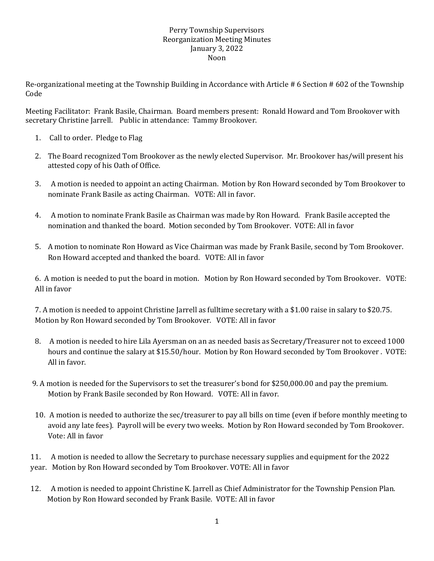## Perry Township Supervisors Reorganization Meeting Minutes January 3, 2022 Noon

Re-organizational meeting at the Township Building in Accordance with Article # 6 Section # 602 of the Township Code

Meeting Facilitator: Frank Basile, Chairman. Board members present: Ronald Howard and Tom Brookover with secretary Christine Jarrell. Public in attendance: Tammy Brookover.

- 1. Call to order. Pledge to Flag
- 2. The Board recognized Tom Brookover as the newly elected Supervisor. Mr. Brookover has/will present his attested copy of his Oath of Office.
- 3. A motion is needed to appoint an acting Chairman. Motion by Ron Howard seconded by Tom Brookover to nominate Frank Basile as acting Chairman. VOTE: All in favor.
- 4. A motion to nominate Frank Basile as Chairman was made by Ron Howard. Frank Basile accepted the nomination and thanked the board. Motion seconded by Tom Brookover. VOTE: All in favor
- 5. A motion to nominate Ron Howard as Vice Chairman was made by Frank Basile, second by Tom Brookover. Ron Howard accepted and thanked the board. VOTE: All in favor

6. A motion is needed to put the board in motion. Motion by Ron Howard seconded by Tom Brookover. VOTE: All in favor

7. A motion is needed to appoint Christine Jarrell as fulltime secretary with a \$1.00 raise in salary to \$20.75. Motion by Ron Howard seconded by Tom Brookover. VOTE: All in favor

- 8. A motion is needed to hire Lila Ayersman on an as needed basis as Secretary/Treasurer not to exceed 1000 hours and continue the salary at \$15.50/hour. Motion by Ron Howard seconded by Tom Brookover . VOTE: All in favor.
- 9. A motion is needed for the Supervisors to set the treasurer's bond for \$250,000.00 and pay the premium. Motion by Frank Basile seconded by Ron Howard. VOTE: All in favor.
- 10. A motion is needed to authorize the sec/treasurer to pay all bills on time (even if before monthly meeting to avoid any late fees). Payroll will be every two weeks. Motion by Ron Howard seconded by Tom Brookover. Vote: All in favor

11. A motion is needed to allow the Secretary to purchase necessary supplies and equipment for the 2022 year. Motion by Ron Howard seconded by Tom Brookover. VOTE: All in favor

 12. A motion is needed to appoint Christine K. Jarrell as Chief Administrator for the Township Pension Plan. Motion by Ron Howard seconded by Frank Basile. VOTE: All in favor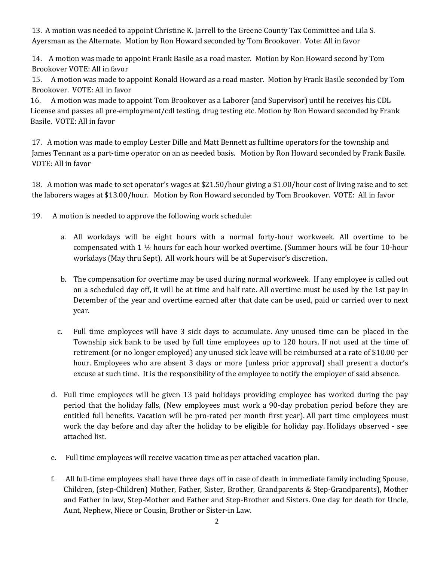13. A motion was needed to appoint Christine K. Jarrell to the Greene County Tax Committee and Lila S. Ayersman as the Alternate. Motion by Ron Howard seconded by Tom Brookover. Vote: All in favor

14. A motion was made to appoint Frank Basile as a road master. Motion by Ron Howard second by Tom Brookover VOTE: All in favor

15. A motion was made to appoint Ronald Howard as a road master. Motion by Frank Basile seconded by Tom Brookover. VOTE: All in favor

16. A motion was made to appoint Tom Brookover as a Laborer (and Supervisor) until he receives his CDL License and passes all pre-employment/cdl testing, drug testing etc. Motion by Ron Howard seconded by Frank Basile. VOTE: All in favor

17. A motion was made to employ Lester Dille and Matt Bennett as fulltime operators for the township and James Tennant as a part-time operator on an as needed basis. Motion by Ron Howard seconded by Frank Basile. VOTE: All in favor

18. A motion was made to set operator's wages at \$21.50/hour giving a \$1.00/hour cost of living raise and to set the laborers wages at \$13.00/hour. Motion by Ron Howard seconded by Tom Brookover. VOTE: All in favor

19. A motion is needed to approve the following work schedule:

- a. All workdays will be eight hours with a normal forty-hour workweek. All overtime to be compensated with 1 ½ hours for each hour worked overtime. (Summer hours will be four 10-hour workdays (May thru Sept). All work hours will be at Supervisor's discretion.
- b. The compensation for overtime may be used during normal workweek. If any employee is called out on a scheduled day off, it will be at time and half rate. All overtime must be used by the 1st pay in December of the year and overtime earned after that date can be used, paid or carried over to next year.
- c. Full time employees will have 3 sick days to accumulate. Any unused time can be placed in the Township sick bank to be used by full time employees up to 120 hours. If not used at the time of retirement (or no longer employed) any unused sick leave will be reimbursed at a rate of \$10.00 per hour. Employees who are absent 3 days or more (unless prior approval) shall present a doctor's excuse at such time. It is the responsibility of the employee to notify the employer of said absence.
- d. Full time employees will be given 13 paid holidays providing employee has worked during the pay period that the holiday falls, (New employees must work a 90-day probation period before they are entitled full benefits. Vacation will be pro-rated per month first year). All part time employees must work the day before and day after the holiday to be eligible for holiday pay. Holidays observed - see attached list.
- e. Full time employees will receive vacation time as per attached vacation plan.
- f. All full-time employees shall have three days off in case of death in immediate family including Spouse, Children, (step-Children) Mother, Father, Sister, Brother, Grandparents & Step-Grandparents), Mother and Father in law, Step-Mother and Father and Step-Brother and Sisters. One day for death for Uncle, Aunt, Nephew, Niece or Cousin, Brother or Sister-in Law.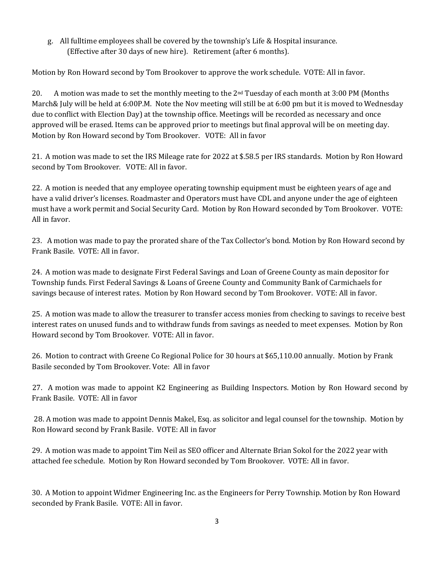## g. All fulltime employees shall be covered by the township's Life & Hospital insurance. (Effective after 30 days of new hire). Retirement (after 6 months).

Motion by Ron Howard second by Tom Brookover to approve the work schedule. VOTE: All in favor.

20. A motion was made to set the monthly meeting to the 2<sup>nd</sup> Tuesday of each month at 3:00 PM (Months March& July will be held at 6:00P.M. Note the Nov meeting will still be at 6:00 pm but it is moved to Wednesday due to conflict with Election Day) at the township office. Meetings will be recorded as necessary and once approved will be erased. Items can be approved prior to meetings but final approval will be on meeting day. Motion by Ron Howard second by Tom Brookover. VOTE: All in favor

21. A motion was made to set the IRS Mileage rate for 2022 at \$.58.5 per IRS standards. Motion by Ron Howard second by Tom Brookover. VOTE: All in favor.

22. A motion is needed that any employee operating township equipment must be eighteen years of age and have a valid driver's licenses. Roadmaster and Operators must have CDL and anyone under the age of eighteen must have a work permit and Social Security Card. Motion by Ron Howard seconded by Tom Brookover. VOTE: All in favor.

23. A motion was made to pay the prorated share of the Tax Collector's bond. Motion by Ron Howard second by Frank Basile. VOTE: All in favor.

24. A motion was made to designate First Federal Savings and Loan of Greene County as main depositor for Township funds. First Federal Savings & Loans of Greene County and Community Bank of Carmichaels for savings because of interest rates. Motion by Ron Howard second by Tom Brookover. VOTE: All in favor.

25. A motion was made to allow the treasurer to transfer access monies from checking to savings to receive best interest rates on unused funds and to withdraw funds from savings as needed to meet expenses. Motion by Ron Howard second by Tom Brookover. VOTE: All in favor.

26. Motion to contract with Greene Co Regional Police for 30 hours at \$65,110.00 annually. Motion by Frank Basile seconded by Tom Brookover. Vote: All in favor

27. A motion was made to appoint K2 Engineering as Building Inspectors. Motion by Ron Howard second by Frank Basile. VOTE: All in favor

28. A motion was made to appoint Dennis Makel, Esq. as solicitor and legal counsel for the township. Motion by Ron Howard second by Frank Basile. VOTE: All in favor

29. A motion was made to appoint Tim Neil as SEO officer and Alternate Brian Sokol for the 2022 year with attached fee schedule. Motion by Ron Howard seconded by Tom Brookover. VOTE: All in favor.

30. A Motion to appoint Widmer Engineering Inc. as the Engineers for Perry Township. Motion by Ron Howard seconded by Frank Basile. VOTE: All in favor.